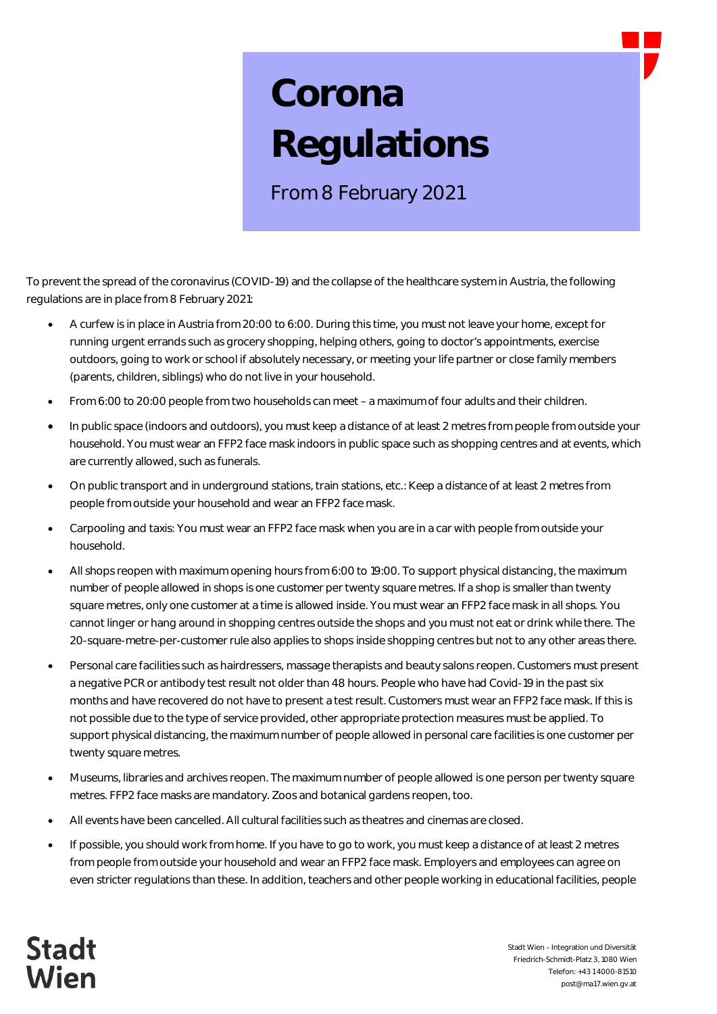## **Corona Regulations**

From 8 February 2021

To prevent the spread of the coronavirus (COVID-19) and the collapse of the healthcare system in Austria, the following regulations are in place from 8 February 2021:

- · A curfew is in place in Austria from 20:00 to 6:00. During this time, you must not leave your home, except for running urgent errands such as grocery shopping, helping others, going to doctor's appointments, exercise outdoors, going to work or school if absolutely necessary, or meeting your life partner or close family members (parents, children, siblings) who do not live in your household.
- · From 6:00 to 20:00 people from two households can meet a maximum of four adults and their children.
- · In public space (indoors and outdoors), you must keep a distance of at least 2 metres from people from outside your household. You must wear an FFP2 face mask indoors in public space such as shopping centres and at events, which are currently allowed, such as funerals.
- · On public transport and in underground stations, train stations, etc.: Keep a distance of at least 2 metres from people from outside your household and wear an FFP2 face mask.
- · Carpooling and taxis: You must wear an FFP2 face mask when you are in a car with people from outside your household.
- All shops reopen with maximum opening hours from 6:00 to 19:00. To support physical distancing, the maximum number of people allowed in shops is one customer per twenty square metres. If a shop is smaller than twenty square metres, only one customer at a time is allowed inside. You must wear an FFP2 face mask in all shops. You cannot linger or hang around in shopping centres outside the shops and you must not eat or drink while there. The 20-square-metre-per-customer rule also applies to shops inside shopping centres but not to any other areas there.
- Personal care facilities such as hairdressers, massage therapists and beauty salons reopen. Customers must present a negative PCR or antibody test result not older than 48 hours. People who have had Covid-19 in the past six months and have recovered do not have to present a test result. Customers must wear an FFP2 face mask. If this is not possible due to the type of service provided, other appropriate protection measures must be applied. To support physical distancing, the maximum number of people allowed in personal care facilities is one customer per twenty square metres.
- · Museums, libraries and archives reopen. The maximum number of people allowed is one person per twenty square metres. FFP2 face masks are mandatory. Zoos and botanical gardens reopen, too.
- · All events have been cancelled. All cultural facilities such as theatres and cinemas are closed.
- If possible, you should work from home. If you have to go to work, you must keep a distance of at least 2 metres from people from outside your household and wear an FFP2 face mask. Employers and employees can agree on even stricter regulations than these. In addition, teachers and other people working in educational facilities, people

**Stadt** Vien

Stadt Wien – Integration und Diversität Friedrich-Schmidt-Platz 3, 1080 Wien Telefon: +43 1 4000-81510 post@ma17.wien.gv.at